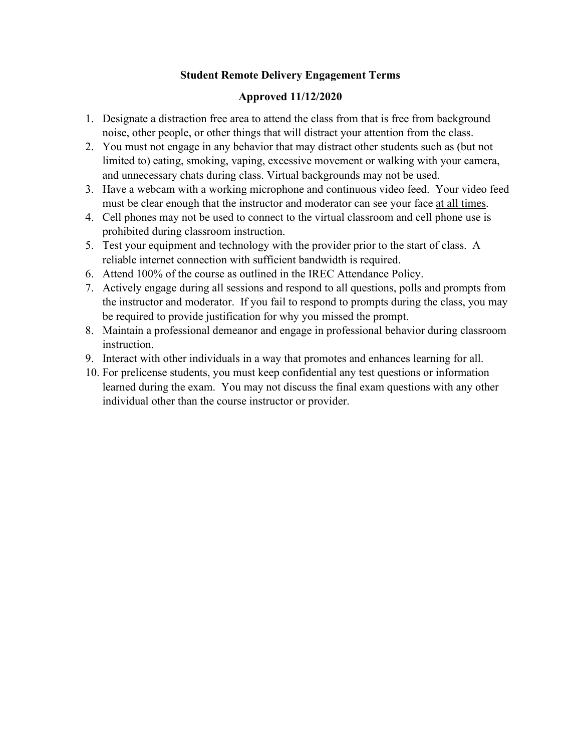## **Student Remote Delivery Engagement Terms**

## **Approved 11/12/2020**

- 1. Designate a distraction free area to attend the class from that is free from background noise, other people, or other things that will distract your attention from the class.
- 2. You must not engage in any behavior that may distract other students such as (but not limited to) eating, smoking, vaping, excessive movement or walking with your camera, and unnecessary chats during class. Virtual backgrounds may not be used.
- 3. Have a webcam with a working microphone and continuous video feed. Your video feed must be clear enough that the instructor and moderator can see your face at all times.
- 4. Cell phones may not be used to connect to the virtual classroom and cell phone use is prohibited during classroom instruction.
- 5. Test your equipment and technology with the provider prior to the start of class. A reliable internet connection with sufficient bandwidth is required.
- 6. Attend 100% of the course as outlined in the IREC Attendance Policy.
- 7. Actively engage during all sessions and respond to all questions, polls and prompts from the instructor and moderator. If you fail to respond to prompts during the class, you may be required to provide justification for why you missed the prompt.
- 8. Maintain a professional demeanor and engage in professional behavior during classroom instruction.
- 9. Interact with other individuals in a way that promotes and enhances learning for all.
- 10. For prelicense students, you must keep confidential any test questions or information learned during the exam. You may not discuss the final exam questions with any other individual other than the course instructor or provider.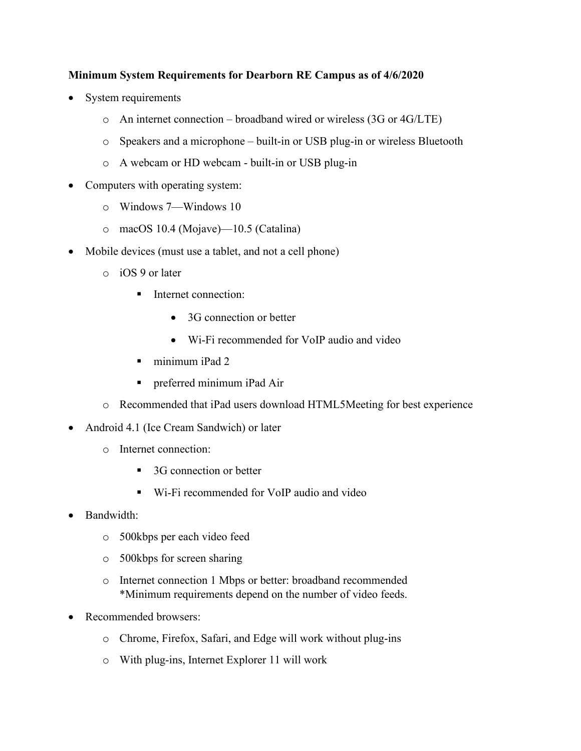## **Minimum System Requirements for Dearborn RE Campus as of 4/6/2020**

- System requirements
	- o An internet connection broadband wired or wireless (3G or 4G/LTE)
	- o Speakers and a microphone built-in or USB plug-in or wireless Bluetooth
	- o A webcam or HD webcam built-in or USB plug-in
- Computers with operating system:
	- o Windows 7—Windows 10
	- o macOS 10.4 (Mojave)—10.5 (Catalina)
- Mobile devices (must use a tablet, and not a cell phone)
	- o iOS 9 or later
		- **I**nternet connection:
			- 3G connection or better
			- Wi-Fi recommended for VoIP audio and video
		- minimum iPad 2
		- preferred minimum iPad Air
	- o Recommended that iPad users download HTML5Meeting for best experience
- Android 4.1 (Ice Cream Sandwich) or later
	- o Internet connection:
		- 3G connection or better
		- Wi-Fi recommended for VoIP audio and video
- Bandwidth:
	- o 500kbps per each video feed
	- o 500kbps for screen sharing
	- o Internet connection 1 Mbps or better: broadband recommended \*Minimum requirements depend on the number of video feeds.
- Recommended browsers:
	- o Chrome, Firefox, Safari, and Edge will work without plug-ins
	- o With plug-ins, Internet Explorer 11 will work